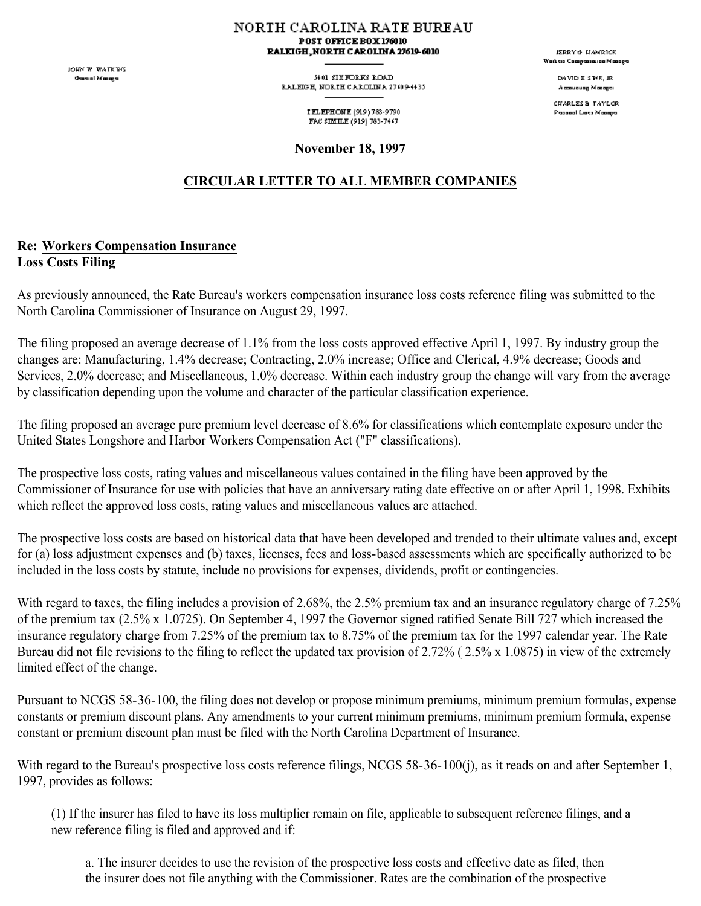JOHN W. WATKINS **Oascial Masage** 

NORTH CAROLINA RATE BUREAU POST OFFICE BOX 176010 RALEIGH, NORTH CAROLINA 27619-6010

> 54.01 SIX FORKS ROAD RALEGH, NORTH CAROLINA 27409-4435

> > TELEPHONE (919) 783-9790 FAC SIMILE (919) 783-7447

**November 18, 1997**

## **CIRCULAR LETTER TO ALL MEMBER COMPANIES**

## **Re: Workers Compensation Insurance Loss Costs Filing**

As previously announced, the Rate Bureau's workers compensation insurance loss costs reference filing was submitted to the North Carolina Commissioner of Insurance on August 29, 1997.

The filing proposed an average decrease of 1.1% from the loss costs approved effective April 1, 1997. By industry group the changes are: Manufacturing, 1.4% decrease; Contracting, 2.0% increase; Office and Clerical, 4.9% decrease; Goods and Services, 2.0% decrease; and Miscellaneous, 1.0% decrease. Within each industry group the change will vary from the average by classification depending upon the volume and character of the particular classification experience.

The filing proposed an average pure premium level decrease of 8.6% for classifications which contemplate exposure under the United States Longshore and Harbor Workers Compensation Act ("F" classifications).

The prospective loss costs, rating values and miscellaneous values contained in the filing have been approved by the Commissioner of Insurance for use with policies that have an anniversary rating date effective on or after April 1, 1998. Exhibits which reflect the approved loss costs, rating values and miscellaneous values are attached.

The prospective loss costs are based on historical data that have been developed and trended to their ultimate values and, except for (a) loss adjustment expenses and (b) taxes, licenses, fees and loss-based assessments which are specifically authorized to be included in the loss costs by statute, include no provisions for expenses, dividends, profit or contingencies.

With regard to taxes, the filing includes a provision of 2.68%, the 2.5% premium tax and an insurance regulatory charge of 7.25% of the premium tax (2.5% x 1.0725). On September 4, 1997 the Governor signed ratified Senate Bill 727 which increased the insurance regulatory charge from 7.25% of the premium tax to 8.75% of the premium tax for the 1997 calendar year. The Rate Bureau did not file revisions to the filing to reflect the updated tax provision of 2.72% ( 2.5% x 1.0875) in view of the extremely limited effect of the change.

Pursuant to NCGS 58-36-100, the filing does not develop or propose minimum premiums, minimum premium formulas, expense constants or premium discount plans. Any amendments to your current minimum premiums, minimum premium formula, expense constant or premium discount plan must be filed with the North Carolina Department of Insurance.

With regard to the Bureau's prospective loss costs reference filings, NCGS 58-36-100(j), as it reads on and after September 1, 1997, provides as follows:

(1) If the insurer has filed to have its loss multiplier remain on file, applicable to subsequent reference filings, and a new reference filing is filed and approved and if:

a. The insurer decides to use the revision of the prospective loss costs and effective date as filed, then the insurer does not file anything with the Commissioner. Rates are the combination of the prospective

JERRY & HAMRICK **Waikers Compassion Manager** 

> DAMD E STYK, JR Accounting Monoger

CHARLES & TAYLOR Passeal Lists Masage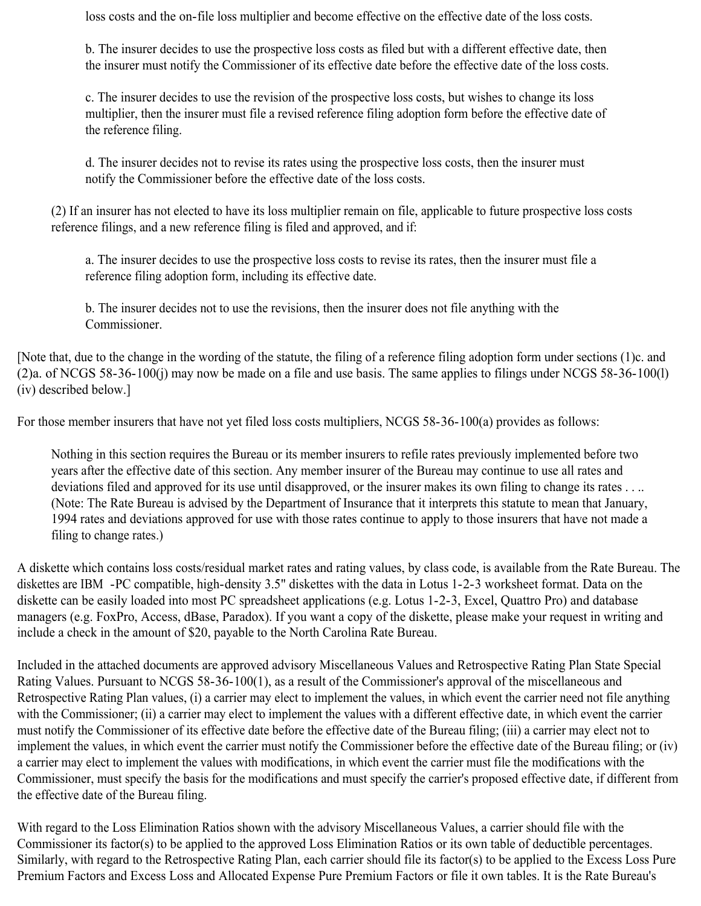loss costs and the on-file loss multiplier and become effective on the effective date of the loss costs.

b. The insurer decides to use the prospective loss costs as filed but with a different effective date, then the insurer must notify the Commissioner of its effective date before the effective date of the loss costs.

c. The insurer decides to use the revision of the prospective loss costs, but wishes to change its loss multiplier, then the insurer must file a revised reference filing adoption form before the effective date of the reference filing.

d. The insurer decides not to revise its rates using the prospective loss costs, then the insurer must notify the Commissioner before the effective date of the loss costs.

(2) If an insurer has not elected to have its loss multiplier remain on file, applicable to future prospective loss costs reference filings, and a new reference filing is filed and approved, and if:

a. The insurer decides to use the prospective loss costs to revise its rates, then the insurer must file a reference filing adoption form, including its effective date.

b. The insurer decides not to use the revisions, then the insurer does not file anything with the Commissioner.

[Note that, due to the change in the wording of the statute, the filing of a reference filing adoption form under sections (1)c. and (2)a. of NCGS 58-36-100(j) may now be made on a file and use basis. The same applies to filings under NCGS 58-36-100(l) (iv) described below.]

For those member insurers that have not yet filed loss costs multipliers, NCGS 58-36-100(a) provides as follows:

Nothing in this section requires the Bureau or its member insurers to refile rates previously implemented before two years after the effective date of this section. Any member insurer of the Bureau may continue to use all rates and deviations filed and approved for its use until disapproved, or the insurer makes its own filing to change its rates . . .. (Note: The Rate Bureau is advised by the Department of Insurance that it interprets this statute to mean that January, 1994 rates and deviations approved for use with those rates continue to apply to those insurers that have not made a filing to change rates.)

A diskette which contains loss costs/residual market rates and rating values, by class code, is available from the Rate Bureau. The diskettes are IBM -PC compatible, high-density 3.5" diskettes with the data in Lotus 1-2-3 worksheet format. Data on the diskette can be easily loaded into most PC spreadsheet applications (e.g. Lotus 1-2-3, Excel, Quattro Pro) and database managers (e.g. FoxPro, Access, dBase, Paradox). If you want a copy of the diskette, please make your request in writing and include a check in the amount of \$20, payable to the North Carolina Rate Bureau.

Included in the attached documents are approved advisory Miscellaneous Values and Retrospective Rating Plan State Special Rating Values. Pursuant to NCGS 58-36-100(1), as a result of the Commissioner's approval of the miscellaneous and Retrospective Rating Plan values, (i) a carrier may elect to implement the values, in which event the carrier need not file anything with the Commissioner; (ii) a carrier may elect to implement the values with a different effective date, in which event the carrier must notify the Commissioner of its effective date before the effective date of the Bureau filing; (iii) a carrier may elect not to implement the values, in which event the carrier must notify the Commissioner before the effective date of the Bureau filing; or (iv) a carrier may elect to implement the values with modifications, in which event the carrier must file the modifications with the Commissioner, must specify the basis for the modifications and must specify the carrier's proposed effective date, if different from the effective date of the Bureau filing.

With regard to the Loss Elimination Ratios shown with the advisory Miscellaneous Values, a carrier should file with the Commissioner its factor(s) to be applied to the approved Loss Elimination Ratios or its own table of deductible percentages. Similarly, with regard to the Retrospective Rating Plan, each carrier should file its factor(s) to be applied to the Excess Loss Pure Premium Factors and Excess Loss and Allocated Expense Pure Premium Factors or file it own tables. It is the Rate Bureau's